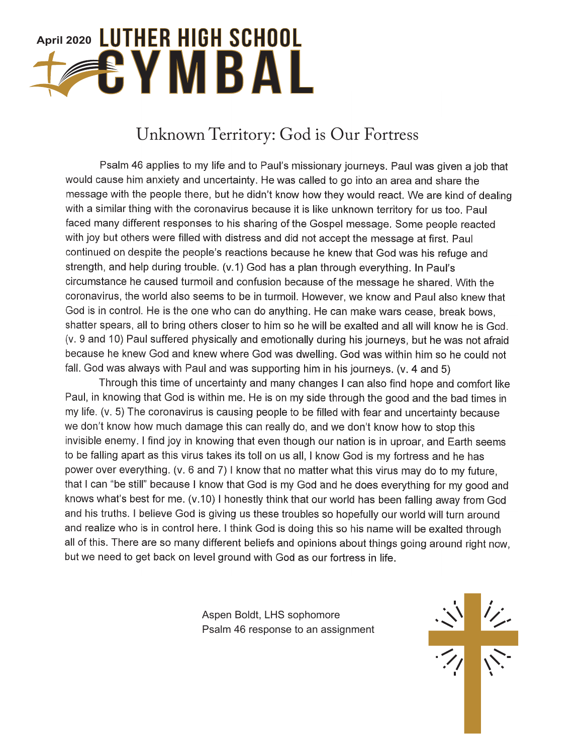# April 2020 LUTHER HIGH SCHOOL FYMBAL

### Unknown Territory: God is Our Fortress

Psalm 46 applies to my life and to Paul's missionary journeys. Paul was given a job that would cause him anxiety and uncertainty. He was called to go into an area and share the message with the people there, but he didn't know how they would react. We are kind of dealing with a similar thing with the coronavirus because it is like unknown territory for us too. Paul faced many different responses to his sharing of the Gospel message. Some people reacted with joy but others were filled with distress and did not accept the message at first. Paul continued on despite the people's reactions because he knew that God was his refuge and strength, and help during trouble. (v.1) God has a plan through everything. In Paul's circumstance he caused turmoil and confusion because of the message he shared. With the coronavirus, the world also seems to be in turmoil. However, we know and Paul also knew that God is in control. He is the one who can do anything. He can make wars cease, break bows, shatter spears, all to bring others closer to him so he will be exalted and all will know he is God. (v. 9 and 10) Paul suffered physically and emotionally during his journeys, but he was not afraid because he knew God and knew where God was dwelling. God was within him so he could not fall. God was always with Paul and was supporting him in his journeys. (v. 4 and 5)

Through this time of uncertainty and many changes I can also find hope and comfort like Paul, in knowing that God is within me. He is on my side through the good and the bad times in my life. (v. 5) The coronavirus is causing people to be filled with fear and uncertainty because we don't know how much damage this can really do, and we don't know how to stop this invisible enemy. I find joy in knowing that even though our nation is in uproar, and Earth seems to be falling apart as this virus takes its toll on us all, I know God is my fortress and he has power over everything. (v. 6 and 7) I know that no matter what this virus may do to my future, that I can "be still" because I know that God is my God and he does everything for my good and knows what's best for me. (v.10) I honestly think that our world has been falling away from God and his truths. I believe God is giving us these troubles so hopefully our world will turn around and realize who is in control here. I think God is doing this so his name will be exalted through all of this. There are so many different beliefs and opinions about things going around right now, but we need to get back on level ground with God as our fortress in life.

> Aspen Boldt, LHS sophomore Psalm 46 response to an assignment

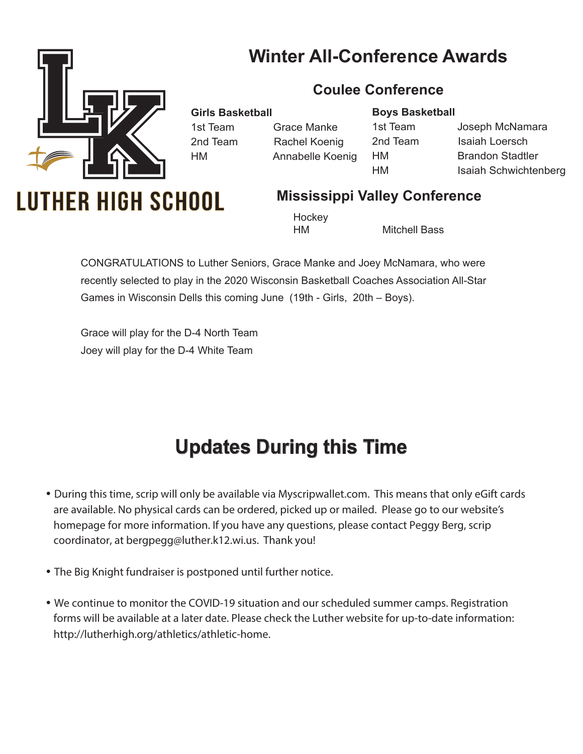### **Winter All-Conference Awards**

**Coulee Conference**



**Girls Basketball**

1st Team Grace Manke 2nd Team Rachel Koenig HM Annabelle Koenig **Boys Basketball**

1st Team Joseph McNamara 2nd Team Isaiah Loersch HM Brandon Stadtler HM Isaiah Schwichtenberg

## **UTHER HIGH SCHOOL**

#### **Mississippi Valley Conference**

**Hockey** 

HM Mitchell Bass

CONGRATULATIONS to Luther Seniors, Grace Manke and Joey McNamara, who were recently selected to play in the 2020 Wisconsin Basketball Coaches Association All-Star Games in Wisconsin Dells this coming June (19th - Girls, 20th – Boys).

Grace will play for the D-4 North Team Joey will play for the D-4 White Team

### **Updates During this Time**

- During this time, scrip will only be available via Myscripwallet.com. This means that only eGift cards are available. No physical cards can be ordered, picked up or mailed. Please go to our website's homepage for more information. If you have any questions, please contact Peggy Berg, scrip coordinator, at bergpegg@luther.k12.wi.us. Thank you!
- The Big Knight fundraiser is postponed until further notice.
- We continue to monitor the COVID-19 situation and our scheduled summer camps. Registration forms will be available at a later date. Please check the Luther website for up-to-date information: http://lutherhigh.org/athletics/athletic-home.